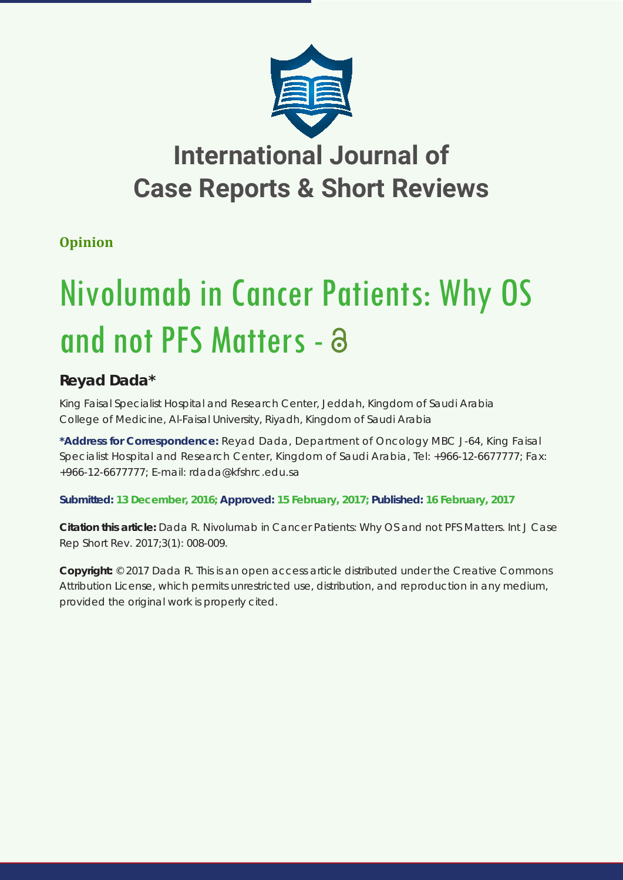

## **International Journal of Case Reports & Short Reviews**

### **Opinion**

# Nivolumab in Cancer Patients: Why OS and not PFS Matters - a

## **Reyad Dada\***

*King Faisal Specialist Hospital and Research Center, Jeddah, Kingdom of Saudi Arabia College of Medicine, Al-Faisal University, Riyadh, Kingdom of Saudi Arabia*

**\*Address for Correspondence:** Reyad Dada, Department of Oncology MBC J-64, King Faisal Specialist Hospital and Research Center, Kingdom of Saudi Arabia, Tel: +966-12-6677777; Fax: +966-12-6677777; E-mail: rdada@kfshrc.edu.sa

**Submitted: 13 December, 2016; Approved: 15 February, 2017; Published: 16 February, 2017**

**Citation this article:** Dada R. Nivolumab in Cancer Patients: Why OS and not PFS Matters. Int J Case Rep Short Rev. 2017;3(1): 008-009.

**Copyright:** © 2017 Dada R. This is an open access article distributed under the Creative Commons Attribution License, which permits unrestricted use, distribution, and reproduction in any medium, provided the original work is properly cited.